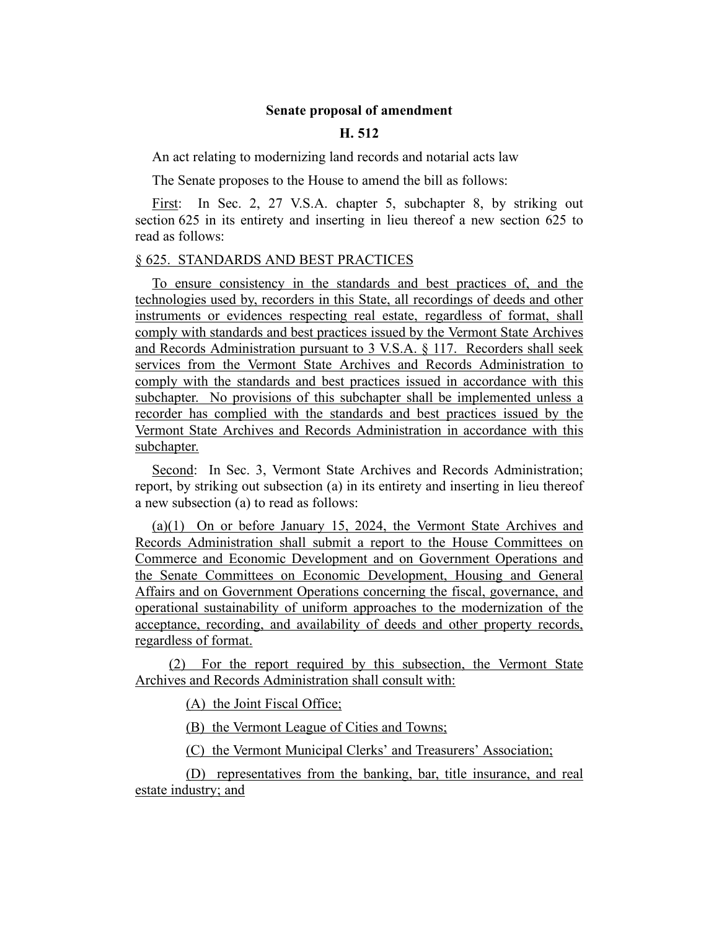## **Senate proposal of amendment**

## **H. 512**

An act relating to modernizing land records and notarial acts law

The Senate proposes to the House to amend the bill as follows:

First: In Sec. 2, 27 V.S.A. chapter 5, subchapter 8, by striking out section 625 in its entirety and inserting in lieu thereof a new section 625 to read as follows:

## § 625. STANDARDS AND BEST PRACTICES

To ensure consistency in the standards and best practices of, and the technologies used by, recorders in this State, all recordings of deeds and other instruments or evidences respecting real estate, regardless of format, shall comply with standards and best practices issued by the Vermont State Archives and Records Administration pursuant to 3 V.S.A. § 117. Recorders shall seek services from the Vermont State Archives and Records Administration to comply with the standards and best practices issued in accordance with this subchapter. No provisions of this subchapter shall be implemented unless a recorder has complied with the standards and best practices issued by the Vermont State Archives and Records Administration in accordance with this subchapter.

Second: In Sec. 3, Vermont State Archives and Records Administration; report, by striking out subsection (a) in its entirety and inserting in lieu thereof a new subsection (a) to read as follows:

(a)(1) On or before January 15, 2024, the Vermont State Archives and Records Administration shall submit a report to the House Committees on Commerce and Economic Development and on Government Operations and the Senate Committees on Economic Development, Housing and General Affairs and on Government Operations concerning the fiscal, governance, and operational sustainability of uniform approaches to the modernization of the acceptance, recording, and availability of deeds and other property records, regardless of format.

(2) For the report required by this subsection, the Vermont State Archives and Records Administration shall consult with:

(A) the Joint Fiscal Office;

(B) the Vermont League of Cities and Towns;

(C) the Vermont Municipal Clerks' and Treasurers' Association;

(D) representatives from the banking, bar, title insurance, and real estate industry; and